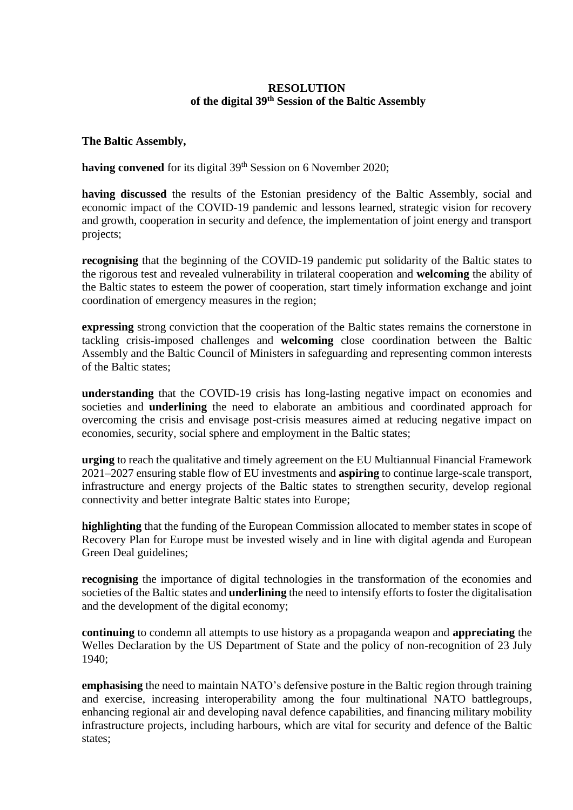# **RESOLUTION of the digital 39 th Session of the Baltic Assembly**

**The Baltic Assembly,**

having convened for its digital 39<sup>th</sup> Session on 6 November 2020;

**having discussed** the results of the Estonian presidency of the Baltic Assembly, social and economic impact of the COVID-19 pandemic and lessons learned, strategic vision for recovery and growth, cooperation in security and defence, the implementation of joint energy and transport projects;

**recognising** that the beginning of the COVID-19 pandemic put solidarity of the Baltic states to the rigorous test and revealed vulnerability in trilateral cooperation and **welcoming** the ability of the Baltic states to esteem the power of cooperation, start timely information exchange and joint coordination of emergency measures in the region;

**expressing** strong conviction that the cooperation of the Baltic states remains the cornerstone in tackling crisis-imposed challenges and **welcoming** close coordination between the Baltic Assembly and the Baltic Council of Ministers in safeguarding and representing common interests of the Baltic states;

**understanding** that the COVID-19 crisis has long-lasting negative impact on economies and societies and **underlining** the need to elaborate an ambitious and coordinated approach for overcoming the crisis and envisage post-crisis measures aimed at reducing negative impact on economies, security, social sphere and employment in the Baltic states;

**urging** to reach the qualitative and timely agreement on the EU Multiannual Financial Framework 2021–2027 ensuring stable flow of EU investments and **aspiring** to continue large-scale transport, infrastructure and energy projects of the Baltic states to strengthen security, develop regional connectivity and better integrate Baltic states into Europe;

**highlighting** that the funding of the European Commission allocated to member states in scope of Recovery Plan for Europe must be invested wisely and in line with digital agenda and European Green Deal guidelines;

**recognising** the importance of digital technologies in the transformation of the economies and societies of the Baltic states and **underlining** the need to intensify efforts to foster the digitalisation and the development of the digital economy;

**continuing** to condemn all attempts to use history as a propaganda weapon and **appreciating** the Welles Declaration by the US Department of State and the policy of non-recognition of 23 July 1940;

**emphasising** the need to maintain NATO's defensive posture in the Baltic region through training and exercise, increasing interoperability among the four multinational NATO battlegroups, enhancing regional air and developing naval defence capabilities, and financing military mobility infrastructure projects, including harbours, which are vital for security and defence of the Baltic states;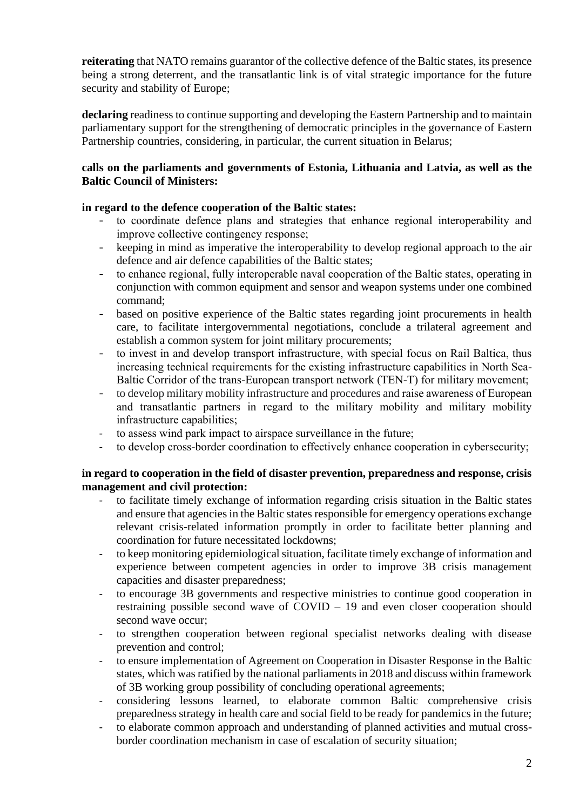**reiterating** that NATO remains guarantor of the collective defence of the Baltic states, its presence being a strong deterrent, and the transatlantic link is of vital strategic importance for the future security and stability of Europe;

**declaring** readiness to continue supporting and developing the Eastern Partnership and to maintain parliamentary support for the strengthening of democratic principles in the governance of Eastern Partnership countries, considering, in particular, the current situation in Belarus;

## **calls on the parliaments and governments of Estonia, Lithuania and Latvia, as well as the Baltic Council of Ministers:**

# **in regard to the defence cooperation of the Baltic states:**

- to coordinate defence plans and strategies that enhance regional interoperability and improve collective contingency response;
- keeping in mind as imperative the interoperability to develop regional approach to the air defence and air defence capabilities of the Baltic states;
- to enhance regional, fully interoperable naval cooperation of the Baltic states, operating in conjunction with common equipment and sensor and weapon systems under one combined command;
- based on positive experience of the Baltic states regarding joint procurements in health care, to facilitate intergovernmental negotiations, conclude a trilateral agreement and establish a common system for joint military procurements;
- to invest in and develop transport infrastructure, with special focus on Rail Baltica, thus increasing technical requirements for the existing infrastructure capabilities in North Sea-Baltic Corridor of the trans-European transport network (TEN-T) for military movement;
- to develop military mobility infrastructure and procedures and raise awareness of European and transatlantic partners in regard to the military mobility and military mobility infrastructure capabilities;
- to assess wind park impact to airspace surveillance in the future;
- to develop cross-border coordination to effectively enhance cooperation in cybersecurity;

## **in regard to cooperation in the field of disaster prevention, preparedness and response, crisis management and civil protection:**

- to facilitate timely exchange of information regarding crisis situation in the Baltic states and ensure that agencies in the Baltic states responsible for emergency operations exchange relevant crisis-related information promptly in order to facilitate better planning and coordination for future necessitated lockdowns;
- to keep monitoring epidemiological situation, facilitate timely exchange of information and experience between competent agencies in order to improve 3B crisis management capacities and disaster preparedness;
- to encourage 3B governments and respective ministries to continue good cooperation in restraining possible second wave of COVID – 19 and even closer cooperation should second wave occur;
- to strengthen cooperation between regional specialist networks dealing with disease prevention and control;
- to ensure implementation of Agreement on Cooperation in Disaster Response in the Baltic states, which was ratified by the national parliaments in 2018 and discuss within framework of 3B working group possibility of concluding operational agreements;
- considering lessons learned, to elaborate common Baltic comprehensive crisis preparedness strategy in health care and social field to be ready for pandemics in the future;
- to elaborate common approach and understanding of planned activities and mutual crossborder coordination mechanism in case of escalation of security situation;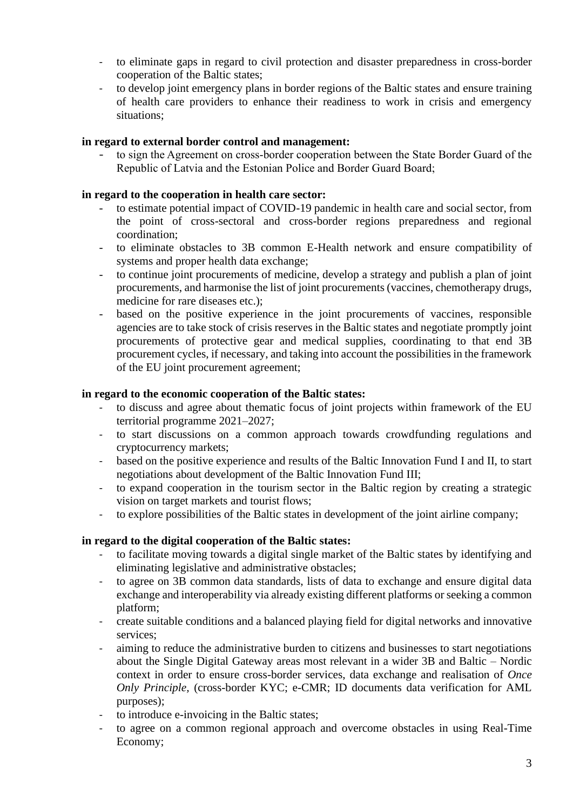- to eliminate gaps in regard to civil protection and disaster preparedness in cross-border cooperation of the Baltic states;
- to develop joint emergency plans in border regions of the Baltic states and ensure training of health care providers to enhance their readiness to work in crisis and emergency situations;

## **in regard to external border control and management:**

to sign the Agreement on cross-border cooperation between the State Border Guard of the Republic of Latvia and the Estonian Police and Border Guard Board;

#### **in regard to the cooperation in health care sector:**

- to estimate potential impact of COVID-19 pandemic in health care and social sector, from the point of cross-sectoral and cross-border regions preparedness and regional coordination;
- to eliminate obstacles to 3B common E-Health network and ensure compatibility of systems and proper health data exchange;
- to continue joint procurements of medicine, develop a strategy and publish a plan of joint procurements, and harmonise the list of joint procurements (vaccines, chemotherapy drugs, medicine for rare diseases etc.);
- based on the positive experience in the joint procurements of vaccines, responsible agencies are to take stock of crisis reserves in the Baltic states and negotiate promptly joint procurements of protective gear and medical supplies, coordinating to that end 3B procurement cycles, if necessary, and taking into account the possibilities in the framework of the EU joint procurement agreement;

## **in regard to the economic cooperation of the Baltic states:**

- to discuss and agree about thematic focus of joint projects within framework of the EU territorial programme 2021–2027;
- to start discussions on a common approach towards crowdfunding regulations and cryptocurrency markets;
- based on the positive experience and results of the Baltic Innovation Fund I and II, to start negotiations about development of the Baltic Innovation Fund III;
- to expand cooperation in the tourism sector in the Baltic region by creating a strategic vision on target markets and tourist flows;
- to explore possibilities of the Baltic states in development of the joint airline company;

# **in regard to the digital cooperation of the Baltic states:**

- to facilitate moving towards a digital single market of the Baltic states by identifying and eliminating legislative and administrative obstacles;
- to agree on 3B common data standards, lists of data to exchange and ensure digital data exchange and interoperability via already existing different platforms or seeking a common platform;
- create suitable conditions and a balanced playing field for digital networks and innovative services;
- aiming to reduce the administrative burden to citizens and businesses to start negotiations about the Single Digital Gateway areas most relevant in a wider 3B and Baltic – Nordic context in order to ensure cross-border services, data exchange and realisation of *Once Only Principle,* (cross-border KYC; e-CMR; ID documents data verification for AML purposes);
- to introduce e-invoicing in the Baltic states;
- to agree on a common regional approach and overcome obstacles in using Real-Time Economy;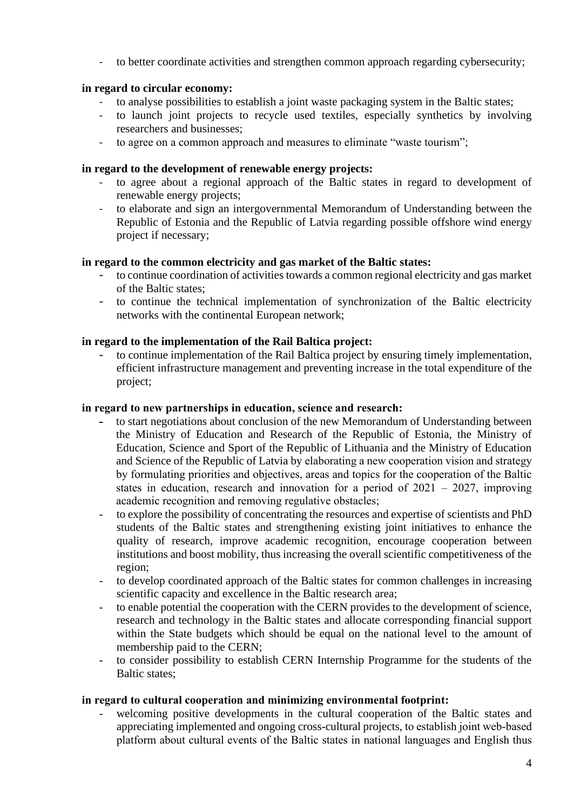- to better coordinate activities and strengthen common approach regarding cybersecurity;

# **in regard to circular economy:**

- to analyse possibilities to establish a joint waste packaging system in the Baltic states;
- to launch joint projects to recycle used textiles, especially synthetics by involving researchers and businesses;
- to agree on a common approach and measures to eliminate "waste tourism";

## **in regard to the development of renewable energy projects:**

- to agree about a regional approach of the Baltic states in regard to development of renewable energy projects;
- to elaborate and sign an intergovernmental Memorandum of Understanding between the Republic of Estonia and the Republic of Latvia regarding possible offshore wind energy project if necessary;

## **in regard to the common electricity and gas market of the Baltic states:**

- to continue coordination of activities towards a common regional electricity and gas market of the Baltic states;
- to continue the technical implementation of synchronization of the Baltic electricity networks with the continental European network;

# **in regard to the implementation of the Rail Baltica project:**

to continue implementation of the Rail Baltica project by ensuring timely implementation, efficient infrastructure management and preventing increase in the total expenditure of the project;

#### **in regard to new partnerships in education, science and research:**

- to start negotiations about conclusion of the new Memorandum of Understanding between the Ministry of Education and Research of the Republic of Estonia, the Ministry of Education, Science and Sport of the Republic of Lithuania and the Ministry of Education and Science of the Republic of Latvia by elaborating a new cooperation vision and strategy by formulating priorities and objectives, areas and topics for the cooperation of the Baltic states in education, research and innovation for a period of 2021 – 2027, improving academic recognition and removing regulative obstacles;
- to explore the possibility of concentrating the resources and expertise of scientists and PhD students of the Baltic states and strengthening existing joint initiatives to enhance the quality of research, improve academic recognition, encourage cooperation between institutions and boost mobility, thus increasing the overall scientific competitiveness of the region;
- to develop coordinated approach of the Baltic states for common challenges in increasing scientific capacity and excellence in the Baltic research area;
- to enable potential the cooperation with the CERN provides to the development of science, research and technology in the Baltic states and allocate corresponding financial support within the State budgets which should be equal on the national level to the amount of membership paid to the CERN;
- to consider possibility to establish CERN Internship Programme for the students of the Baltic states;

#### **in regard to cultural cooperation and minimizing environmental footprint:**

welcoming positive developments in the cultural cooperation of the Baltic states and appreciating implemented and ongoing cross-cultural projects, to establish joint web-based platform about cultural events of the Baltic states in national languages and English thus